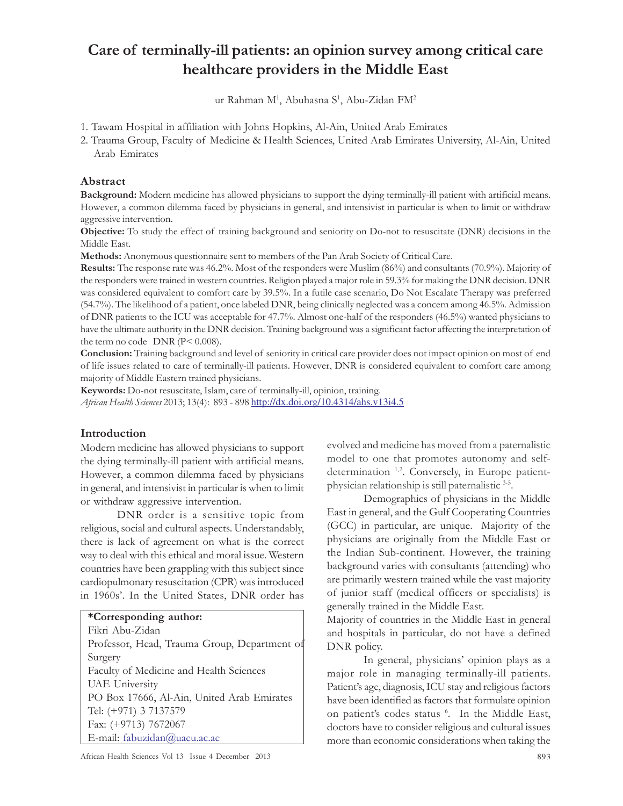# Care of terminally-ill patients: an opinion survey among critical care healthcare providers in the Middle East

ur Rahman M<sup>1</sup>, Abuhasna S<sup>1</sup>, Abu-Zidan FM<sup>2</sup>

- 1. Tawam Hospital in affiliation with Johns Hopkins, Al-Ain, United Arab Emirates
- 2. Trauma Group, Faculty of Medicine & Health Sciences, United Arab Emirates University, Al-Ain, United Arab Emirates

### Abstract

Background: Modern medicine has allowed physicians to support the dying terminally-ill patient with artificial means. However, a common dilemma faced by physicians in general, and intensivist in particular is when to limit or withdraw aggressive intervention.

Objective: To study the effect of training background and seniority on Do-not to resuscitate (DNR) decisions in the Middle East.

Methods: Anonymous questionnaire sent to members of the Pan Arab Society of Critical Care.

Results: The response rate was 46.2%. Most of the responders were Muslim (86%) and consultants (70.9%). Majority of the responders were trained in western countries. Religion played a major role in 59.3% for making the DNR decision. DNR was considered equivalent to comfort care by 39.5%. In a futile case scenario, Do Not Escalate Therapy was preferred (54.7%). The likelihood of a patient, once labeled DNR, being clinically neglected was a concern among 46.5%. Admission of DNR patients to the ICU was acceptable for 47.7%. Almost one-half of the responders (46.5%) wanted physicians to have the ultimate authority in the DNR decision. Training background was a significant factor affecting the interpretation of the term no code DNR (P< 0.008).

Conclusion: Training background and level of seniority in critical care provider does not impact opinion on most of end of life issues related to care of terminally-ill patients. However, DNR is considered equivalent to comfort care among majority of Middle Eastern trained physicians.

Keywords: Do-not resuscitate, Islam, care of terminally-ill, opinion, training. African Health Sciences 2013; 13(4): 893 - 898 http://dx.doi.org/10.4314/ahs.v13i4.5

### Introduction

Modern medicine has allowed physicians to support the dying terminally-ill patient with artificial means. However, a common dilemma faced by physicians in general, and intensivist in particular is when to limit or withdraw aggressive intervention.

DNR order is a sensitive topic from religious, social and cultural aspects. Understandably, there is lack of agreement on what is the correct way to deal with this ethical and moral issue. Western countries have been grappling with this subject since cardiopulmonary resuscitation (CPR) was introduced in 1960s'. In the United States, DNR order has

| *Corresponding author:                       |
|----------------------------------------------|
| Fikri Abu-Zidan                              |
| Professor, Head, Trauma Group, Department of |
| Surgery                                      |
| Faculty of Medicine and Health Sciences      |
| <b>UAE</b> University                        |
| PO Box 17666, Al-Ain, United Arab Emirates   |
| Tel: (+971) 3 7137579                        |
| Fax: (+9713) 7672067                         |
| E-mail: fabuzidan@uaeu.ac.ae                 |

evolved and medicine has moved from a paternalistic model to one that promotes autonomy and selfdetermination <sup>1,2</sup>. Conversely, in Europe patientphysician relationship is still paternalistic 3-5.

Demographics of physicians in the Middle East in general, and the Gulf Cooperating Countries (GCC) in particular, are unique. Majority of the physicians are originally from the Middle East or the Indian Sub-continent. However, the training background varies with consultants (attending) who are primarily western trained while the vast majority of junior staff (medical officers or specialists) is generally trained in the Middle East.

Majority of countries in the Middle East in general and hospitals in particular, do not have a defined DNR policy.

In general, physicians' opinion plays as a major role in managing terminally-ill patients. Patient's age, diagnosis, ICU stay and religious factors have been identified as factors that formulate opinion on patient's codes status <sup>6</sup> . In the Middle East, doctors have to consider religious and cultural issues more than economic considerations when taking the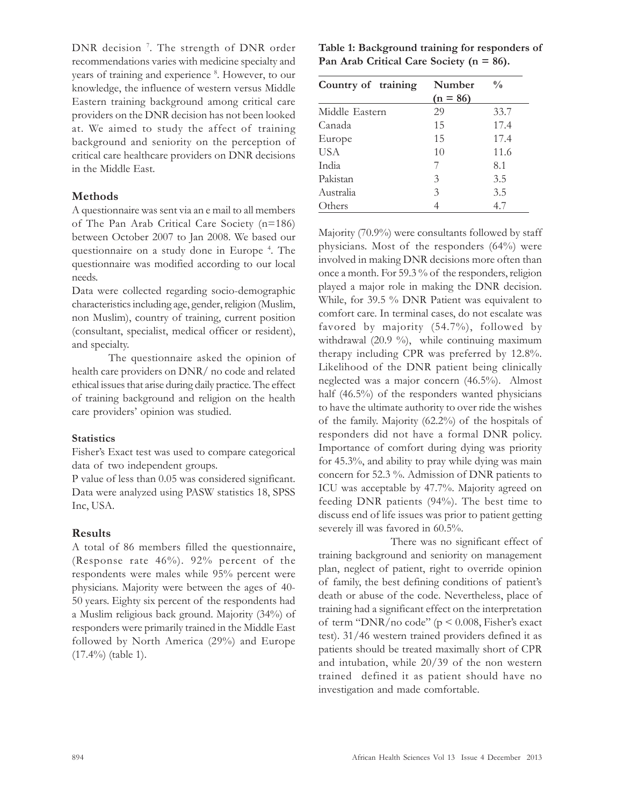DNR decision <sup>7</sup> . The strength of DNR order recommendations varies with medicine specialty and years of training and experience <sup>8</sup>. However, to our knowledge, the influence of western versus Middle Eastern training background among critical care providers on the DNR decision has not been looked at. We aimed to study the affect of training background and seniority on the perception of critical care healthcare providers on DNR decisions in the Middle East.

### Methods

A questionnaire was sent via an e mail to all members of The Pan Arab Critical Care Society (n=186) between October 2007 to Jan 2008. We based our questionnaire on a study done in Europe <sup>4</sup> . The questionnaire was modified according to our local needs.

Data were collected regarding socio-demographic characteristics including age, gender, religion (Muslim, non Muslim), country of training, current position (consultant, specialist, medical officer or resident), and specialty.

The questionnaire asked the opinion of health care providers on DNR/ no code and related ethical issues that arise during daily practice. The effect of training background and religion on the health care providers' opinion was studied.

### **Statistics**

Fisher's Exact test was used to compare categorical data of two independent groups.

P value of less than 0.05 was considered significant. Data were analyzed using PASW statistics 18, SPSS Inc, USA.

### Results

A total of 86 members filled the questionnaire, (Response rate 46%). 92% percent of the respondents were males while 95% percent were physicians. Majority were between the ages of 40- 50 years. Eighty six percent of the respondents had a Muslim religious back ground. Majority (34%) of responders were primarily trained in the Middle East followed by North America (29%) and Europe (17.4%) (table 1).

Table 1: Background training for responders of Pan Arab Critical Care Society (n = 86).

| Country of training | Number     | $\frac{0}{0}$ |
|---------------------|------------|---------------|
|                     | $(n = 86)$ |               |
| Middle Eastern      | 29         | 33.7          |
| Canada              | 15         | 17.4          |
| Europe              | 15         | 17.4          |
| <b>USA</b>          | 10         | 11.6          |
| India               |            | 8.1           |
| Pakistan            | 3          | 3.5           |
| Australia           | 3          | 3.5           |
| Others              |            | 4.7           |

Majority (70.9%) were consultants followed by staff physicians. Most of the responders (64%) were involved in making DNR decisions more often than once a month. For 59.3 % of the responders, religion played a major role in making the DNR decision. While, for 39.5 % DNR Patient was equivalent to comfort care. In terminal cases, do not escalate was favored by majority (54.7%), followed by withdrawal (20.9 %), while continuing maximum therapy including CPR was preferred by 12.8%. Likelihood of the DNR patient being clinically neglected was a major concern (46.5%). Almost half (46.5%) of the responders wanted physicians to have the ultimate authority to over ride the wishes of the family. Majority (62.2%) of the hospitals of responders did not have a formal DNR policy. Importance of comfort during dying was priority for 45.3%, and ability to pray while dying was main concern for 52.3 %. Admission of DNR patients to ICU was acceptable by 47.7%. Majority agreed on feeding DNR patients (94%). The best time to discuss end of life issues was prior to patient getting severely ill was favored in 60.5%.

 There was no significant effect of training background and seniority on management plan, neglect of patient, right to override opinion of family, the best defining conditions of patient's death or abuse of the code. Nevertheless, place of training had a significant effect on the interpretation of term "DNR/no code" (p < 0.008, Fisher's exact test). 31/46 western trained providers defined it as patients should be treated maximally short of CPR and intubation, while 20/39 of the non western trained defined it as patient should have no investigation and made comfortable.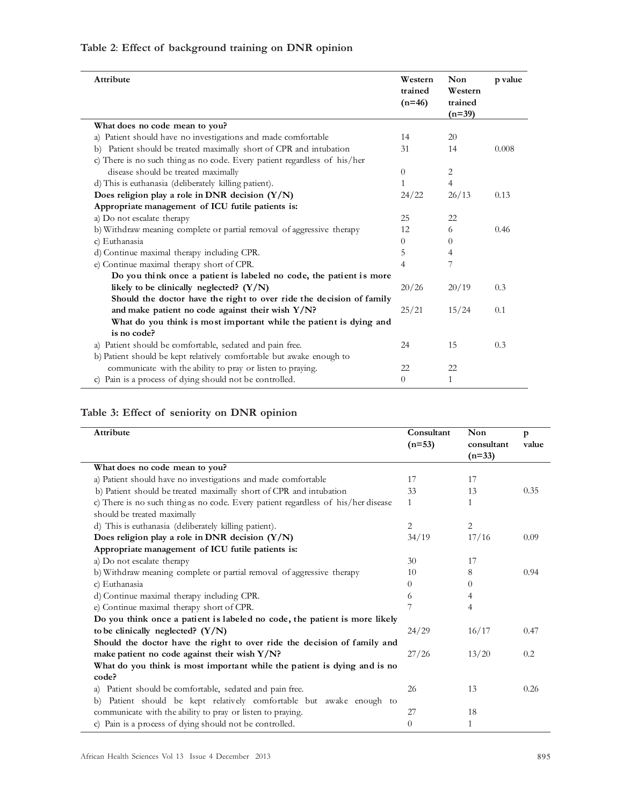## Table 2: Effect of background training on DNR opinion

 $\overline{a}$ 

| Attribute                                                                       | Western<br>trained<br>$(n=46)$ | Non<br>Western<br>trained<br>$(n=39)$ | p value |
|---------------------------------------------------------------------------------|--------------------------------|---------------------------------------|---------|
| What does no code mean to you?                                                  |                                |                                       |         |
| a) Patient should have no investigations and made comfortable                   | 14                             | 20                                    |         |
| Patient should be treated maximally short of CPR and intubation<br>$\mathbf{b}$ | 31                             | 14                                    | 0.008   |
| c) There is no such thing as no code. Every patient regardless of his/her       |                                |                                       |         |
| disease should be treated maximally                                             | 0                              | 2                                     |         |
| d) This is euthanasia (deliberately killing patient).                           | 1                              | $\overline{4}$                        |         |
| Does religion play a role in DNR decision $(Y/N)$                               | 24/22                          | 26/13                                 | 0.13    |
| Appropriate management of ICU futile patients is:                               |                                |                                       |         |
| a) Do not escalate therapy                                                      | 25                             | 22                                    |         |
| b) Withdraw meaning complete or partial removal of aggressive therapy           | 12                             | 6                                     | 0.46    |
| c) Euthanasia                                                                   | 0                              | $\Omega$                              |         |
| d) Continue maximal therapy including CPR.                                      | 5                              | 4                                     |         |
| e) Continue maximal therapy short of CPR.                                       | 4                              | 7                                     |         |
| Do you think once a patient is labeled no code, the patient is more             |                                |                                       |         |
| likely to be clinically neglected? $(Y/N)$                                      | 20/26                          | 20/19                                 | 0.3     |
| Should the doctor have the right to over ride the decision of family            |                                |                                       |         |
| and make patient no code against their wish Y/N?                                | 25/21                          | 15/24                                 | 0.1     |
| What do you think is most important while the patient is dying and              |                                |                                       |         |
| is no code?                                                                     |                                |                                       |         |
| a) Patient should be comfortable, sedated and pain free.                        | 24                             | 15                                    | 0.3     |
| b) Patient should be kept relatively comfortable but awake enough to            |                                |                                       |         |
| communicate with the ability to pray or listen to praying.                      | 22                             | 22                                    |         |
| c) Pain is a process of dying should not be controlled.                         | $\overline{0}$                 | $\mathbf{1}$                          |         |

### Table 3: Effect of seniority on DNR opinion

| Attribute                                                                         | Consultant<br>$(n=53)$ | Non<br>consultant<br>$(n=33)$ | p<br>value |
|-----------------------------------------------------------------------------------|------------------------|-------------------------------|------------|
| What does no code mean to you?                                                    |                        |                               |            |
| a) Patient should have no investigations and made comfortable                     | 17                     | 17                            |            |
| b) Patient should be treated maximally short of CPR and intubation                | 33                     | 13                            | 0.35       |
| c) There is no such thing as no code. Every patient regardless of his/her disease | 1                      | 1                             |            |
| should be treated maximally                                                       |                        |                               |            |
| d) This is euthanasia (deliberately killing patient).                             | 2                      | 2                             |            |
| Does religion play a role in DNR decision $(Y/N)$                                 | 34/19                  | 17/16                         | 0.09       |
| Appropriate management of ICU futile patients is:                                 |                        |                               |            |
| a) Do not escalate therapy                                                        | 30                     | 17                            |            |
| b) Withdraw meaning complete or partial removal of aggressive therapy             | 10                     | 8                             | 0.94       |
| c) Euthanasia                                                                     | $\Omega$               | $\theta$                      |            |
| d) Continue maximal therapy including CPR.                                        | 6                      | 4                             |            |
| e) Continue maximal therapy short of CPR.                                         | 7                      | 4                             |            |
| Do you think once a patient is labeled no code, the patient is more likely        |                        |                               |            |
| to be clinically neglected? $(Y/N)$                                               | 24/29                  | 16/17                         | 0.47       |
| Should the doctor have the right to over ride the decision of family and          |                        |                               |            |
| make patient no code against their wish Y/N?                                      | 27/26                  | 13/20                         | 0.2        |
| What do you think is most important while the patient is dying and is no          |                        |                               |            |
| code?                                                                             |                        |                               |            |
| Patient should be comfortable, sedated and pain free.<br>a)                       | 26                     | 13                            | 0.26       |
| Patient should be kept relatively comfortable but awake enough to<br>b)           |                        |                               |            |
| communicate with the ability to pray or listen to praying.                        | 27                     | 18                            |            |
| c) Pain is a process of dying should not be controlled.                           | $\theta$               | 1                             |            |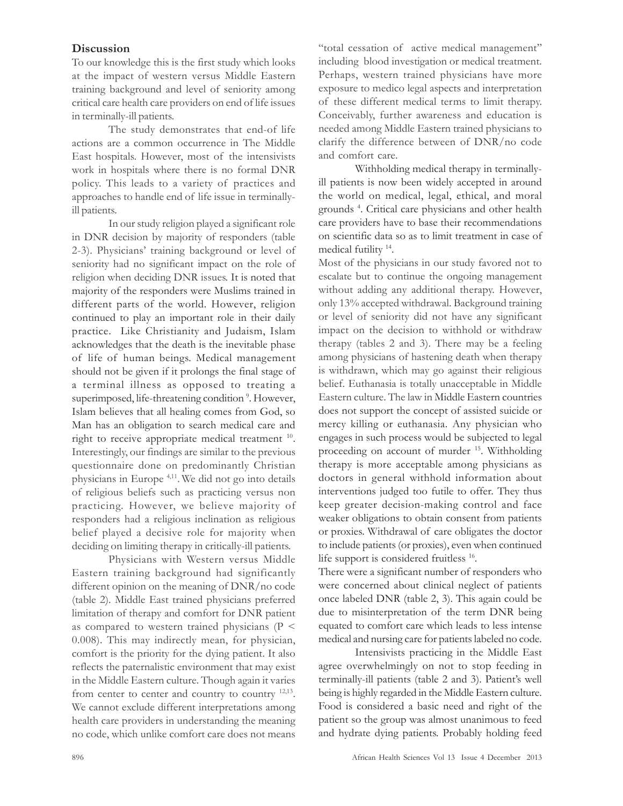### Discussion

To our knowledge this is the first study which looks at the impact of western versus Middle Eastern training background and level of seniority among critical care health care providers on end of life issues in terminally-ill patients.

The study demonstrates that end-of life actions are a common occurrence in The Middle East hospitals. However, most of the intensivists work in hospitals where there is no formal DNR policy. This leads to a variety of practices and approaches to handle end of life issue in terminallyill patients.

In our study religion played a significant role in DNR decision by majority of responders (table 2-3). Physicians' training background or level of seniority had no significant impact on the role of religion when deciding DNR issues. It is noted that majority of the responders were Muslims trained in different parts of the world. However, religion continued to play an important role in their daily practice. Like Christianity and Judaism, Islam acknowledges that the death is the inevitable phase of life of human beings. Medical management should not be given if it prolongs the final stage of a terminal illness as opposed to treating a superimposed, life-threatening condition<sup>9</sup>. However, Islam believes that all healing comes from God, so Man has an obligation to search medical care and right to receive appropriate medical treatment <sup>10</sup>. Interestingly, our findings are similar to the previous questionnaire done on predominantly Christian physicians in Europe 4,11 . We did not go into details of religious beliefs such as practicing versus non practicing. However, we believe majority of responders had a religious inclination as religious belief played a decisive role for majority when deciding on limiting therapy in critically-ill patients.

Physicians with Western versus Middle Eastern training background had significantly different opinion on the meaning of DNR/no code (table 2). Middle East trained physicians preferred limitation of therapy and comfort for DNR patient as compared to western trained physicians (P < 0.008). This may indirectly mean, for physician, comfort is the priority for the dying patient. It also reflects the paternalistic environment that may exist in the Middle Eastern culture. Though again it varies from center to center and country to country <sup>12,13</sup>. We cannot exclude different interpretations among health care providers in understanding the meaning no code, which unlike comfort care does not means

"total cessation of active medical management" including blood investigation or medical treatment. Perhaps, western trained physicians have more exposure to medico legal aspects and interpretation of these different medical terms to limit therapy. Conceivably, further awareness and education is needed among Middle Eastern trained physicians to clarify the difference between of DNR/no code and comfort care.

Withholding medical therapy in terminallyill patients is now been widely accepted in around the world on medical, legal, ethical, and moral grounds <sup>4</sup> . Critical care physicians and other health care providers have to base their recommendations on scientific data so as to limit treatment in case of medical futility <sup>14</sup> .

Most of the physicians in our study favored not to escalate but to continue the ongoing management without adding any additional therapy. However, only 13% accepted withdrawal. Background training or level of seniority did not have any significant impact on the decision to withhold or withdraw therapy (tables 2 and 3). There may be a feeling among physicians of hastening death when therapy is withdrawn, which may go against their religious belief. Euthanasia is totally unacceptable in Middle Eastern culture. The law in Middle Eastern countries does not support the concept of assisted suicide or mercy killing or euthanasia. Any physician who engages in such process would be subjected to legal proceeding on account of murder <sup>15</sup>. Withholding therapy is more acceptable among physicians as doctors in general withhold information about interventions judged too futile to offer. They thus keep greater decision-making control and face weaker obligations to obtain consent from patients or proxies. Withdrawal of care obligates the doctor to include patients (or proxies), even when continued life support is considered fruitless <sup>16</sup>.

There were a significant number of responders who were concerned about clinical neglect of patients once labeled DNR (table 2, 3). This again could be due to misinterpretation of the term DNR being equated to comfort care which leads to less intense medical and nursing care for patients labeled no code.

Intensivists practicing in the Middle East agree overwhelmingly on not to stop feeding in terminally-ill patients (table 2 and 3). Patient's well being is highly regarded in the Middle Eastern culture. Food is considered a basic need and right of the patient so the group was almost unanimous to feed and hydrate dying patients. Probably holding feed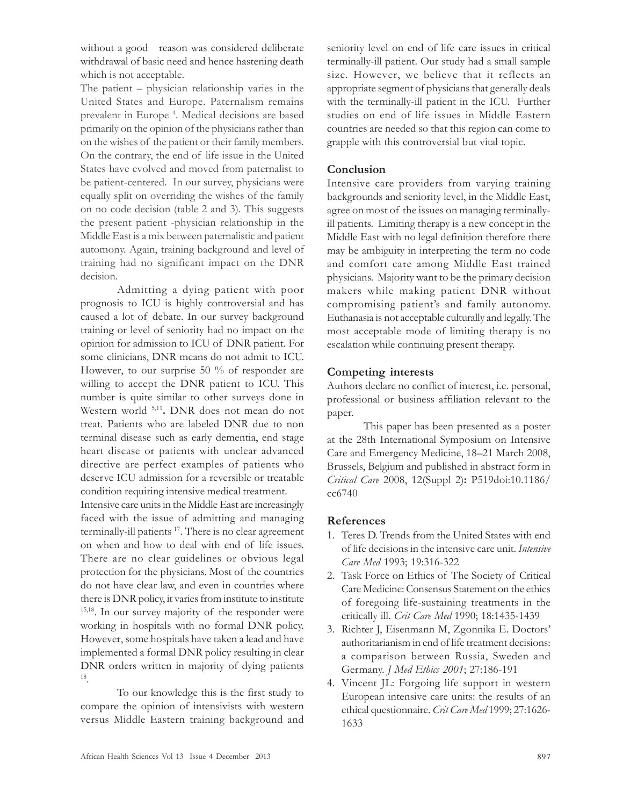without a good reason was considered deliberate withdrawal of basic need and hence hastening death which is not acceptable.

The patient – physician relationship varies in the United States and Europe. Paternalism remains prevalent in Europe <sup>4</sup> . Medical decisions are based primarily on the opinion of the physicians rather than on the wishes of the patient or their family members. On the contrary, the end of life issue in the United States have evolved and moved from paternalist to be patient-centered. In our survey, physicians were equally split on overriding the wishes of the family on no code decision (table 2 and 3). This suggests the present patient -physician relationship in the Middle East is a mix between paternalistic and patient automony. Again, training background and level of training had no significant impact on the DNR decision.

Admitting a dying patient with poor prognosis to ICU is highly controversial and has caused a lot of debate. In our survey background training or level of seniority had no impact on the opinion for admission to ICU of DNR patient. For some clinicians, DNR means do not admit to ICU. However, to our surprise 50 % of responder are willing to accept the DNR patient to ICU. This number is quite similar to other surveys done in Western world <sup>5,11</sup>. DNR does not mean do not treat. Patients who are labeled DNR due to non terminal disease such as early dementia, end stage heart disease or patients with unclear advanced directive are perfect examples of patients who deserve ICU admission for a reversible or treatable condition requiring intensive medical treatment.

Intensive care units in the Middle East are increasingly faced with the issue of admitting and managing terminally-ill patients <sup>17</sup>. There is no clear agreement on when and how to deal with end of life issues. There are no clear guidelines or obvious legal protection for the physicians. Most of the countries do not have clear law, and even in countries where there is DNR policy, it varies from institute to institute 15,18 . In our survey majority of the responder were working in hospitals with no formal DNR policy. However, some hospitals have taken a lead and have implemented a formal DNR policy resulting in clear DNR orders written in majority of dying patients 18 .

To our knowledge this is the first study to compare the opinion of intensivists with western versus Middle Eastern training background and seniority level on end of life care issues in critical terminally-ill patient. Our study had a small sample size. However, we believe that it reflects an appropriate segment of physicians that generally deals with the terminally-ill patient in the ICU. Further studies on end of life issues in Middle Eastern countries are needed so that this region can come to grapple with this controversial but vital topic.

### Conclusion

Intensive care providers from varying training backgrounds and seniority level, in the Middle East, agree on most of the issues on managing terminallyill patients. Limiting therapy is a new concept in the Middle East with no legal definition therefore there may be ambiguity in interpreting the term no code and comfort care among Middle East trained physicians. Majority want to be the primary decision makers while making patient DNR without compromising patient's and family autonomy. Euthanasia is not acceptable culturally and legally. The most acceptable mode of limiting therapy is no escalation while continuing present therapy.

### Competing interests

Authors declare no conflict of interest, i.e. personal, professional or business affiliation relevant to the paper.

This paper has been presented as a poster at the 28th International Symposium on Intensive Care and Emergency Medicine, 18–21 March 2008, Brussels, Belgium and published in abstract form in Critical Care 2008, 12(Suppl 2): P519doi:10.1186/ cc6740

### References

- 1. Teres D. Trends from the United States with end of life decisions in the intensive care unit. Intensive Care Med 1993; 19:316-322
- 2. Task Force on Ethics of The Society of Critical Care Medicine: Consensus Statement on the ethics of foregoing life-sustaining treatments in the critically ill. Crit Care Med 1990; 18:1435-1439
- 3. Richter J, Eisenmann M, Zgonnika E. Doctors' authoritarianism in end of life treatment decisions: a comparison between Russia, Sweden and Germany. J Med Ethics 2001; 27:186-191
- 4. Vincent JL: Forgoing life support in western European intensive care units: the results of an ethical questionnaire. Crit Care Med 1999; 27:1626- 1633